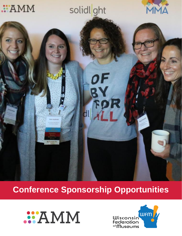

# **Conference Sponsorship Opportunities**



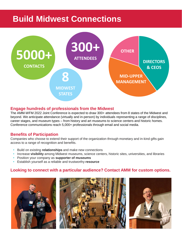## **Build Midwest Connections**



## **Engage hundreds of professionals from the Midwest**

The AMM-WFM 2022 Joint Conference is expected to draw 300+ attendees from 8 states of the Midwest and beyond. We anticipate attendance (virtually and in-person) by individuals representing a range of disciplines, career stages, and museum types – from history and art museums to science centers and historic homes. Conference communications reach 5,000+ professionals through email and social media.

### **Benefits of Participation**

Companies who choose to extend their support of the organization through monetary and in-kind gifts gain access to a range of recognition and benefits.

- Build on existing **relationships** and make new connections
- Increase **visibility** among Midwest museums, science centers, historic sites, universities, and libraries
- Position your company as **supporter of museums**
- Establish yourself as a reliable and trustworthy **resource**

### **Looking to connect with a particular audience? Contact AMM for custom options.**





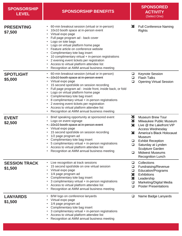| <b>SPONSORSHIP</b><br><b>LEVEL</b> | <b>SPONSORSHIP BENEFITS</b>                                                                                                                                                                                                                                                                                                                                                                                                                                                                                              |                                                | <b>SPONSORED</b><br><b>ACTIVITY</b><br>(Select One)                                                                                                                                                                                                                          |
|------------------------------------|--------------------------------------------------------------------------------------------------------------------------------------------------------------------------------------------------------------------------------------------------------------------------------------------------------------------------------------------------------------------------------------------------------------------------------------------------------------------------------------------------------------------------|------------------------------------------------|------------------------------------------------------------------------------------------------------------------------------------------------------------------------------------------------------------------------------------------------------------------------------|
| <b>PRESENTING</b><br>\$7,500       | 60-min breakout session (virtual or in-person)<br>10x10 booth space at in-person event<br>Virtual expo page<br>Full page program ad - back cover<br>Logo on tote bags<br>Logo on virtual platform home page<br>Feature article on conference website<br>Complimentary tote bag insert<br>10 complimentary virtual + in-person registrations<br>2 evening event tickets per registration<br>Access to virtual platform attendee list<br>Recognition at AMM annual business meeting                                        | ⊠                                              | <b>Full Conference Naming</b><br><b>Rights</b>                                                                                                                                                                                                                               |
| <b>SPOTLIGHT</b><br>\$5,000        | 60-min breakout session (virtual or in-person)<br>$\bullet$<br>• 10x10 booth space at in-person event<br>Virtual expo page<br>$\bullet$<br>15 second spot/slide on session recording<br>Full page program ad - inside front, inside back, or fold<br>Logo on virtual platform home page<br>Complimentary tote bag insert<br>8 complimentary virtual + in-person registrations<br>2 evening event tickets per registration<br>Access to virtual platform attendee list<br>Recognition at AMM annual business meeting<br>٠ | ❏<br>$\Box$<br>$\Box$                          | <b>Keynote Session</b><br><b>Flash Talks</b><br><b>Opening Virtual Session</b>                                                                                                                                                                                               |
| <b>EVENT</b><br>\$2,500            | Brief speaking opportunity at sponsored event<br>$\bullet$<br>Logo on event signage<br>• 10x10 booth space at in-person event<br>Virtual expo page<br>15 second spot/slide on session recording<br>1/2 page program ad<br>Complimentary tote bag insert<br>5 complimentary virtual + in-person registrations<br>Access to virtual platform attendee list<br>Recognition at AMM annual business meeting                                                                                                                   | R.<br>Ø<br>⊠<br>図<br>❏<br>□<br>$\Box$          | <b>Museum Brew Tour</b><br>Milwaukee Public Museum<br>Live @ the Lakefront VIP<br><b>Access Wednesday</b><br>America's Black Holocaust<br>Museum<br><b>Exhibit Reception</b><br>Saturday at Lynden<br>Sculpture Garden<br><b>Midwest Museums</b><br><b>Recognition Lunch</b> |
| <b>SESSION TRACK</b><br>\$1,500    | Live recognition at track sessions<br>15 second spot/slide on one virtual session<br>Virtual expo page<br>1/4 page program ad<br>Complimentary tote bag insert<br>3 complimentary virtual + in-person registrations<br>Access to virtual platform attendee list<br>Recognition at AMM annual business meeting                                                                                                                                                                                                            | □<br>□<br>$\Box$<br>×<br>×<br>$\Box$<br>$\Box$ | Collections<br>Fundraising/Revenue<br>Education/Programs<br><b>Exhibitions</b><br>Leadership<br>Marketing/Digital Media<br><b>Poster Presentations</b>                                                                                                                       |
| <b>LANYARDS</b><br>\$1,500         | B/W logo on conference lanyards<br>Virtual expo page<br>1/4 page program ad<br>Complimentary tote bag insert<br>3 complimentary virtual + in-person registrations<br>Access to virtual platform attendee list<br>Recognition at AMM annual business meeting                                                                                                                                                                                                                                                              | $\Box$                                         | Name Badge Lanyards                                                                                                                                                                                                                                                          |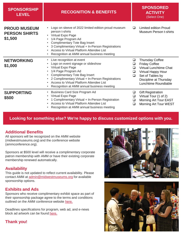| <b>SPONSORSHIP</b><br><b>LEVEL</b>                     | <b>RECOGNITION &amp; BENEFITS</b>                                                                                                                                                                                                                                                                           |                            | <b>SPONSORED</b><br><b>ACTIVITY</b><br>(Select One)                                                                                                                                |
|--------------------------------------------------------|-------------------------------------------------------------------------------------------------------------------------------------------------------------------------------------------------------------------------------------------------------------------------------------------------------------|----------------------------|------------------------------------------------------------------------------------------------------------------------------------------------------------------------------------|
| <b>PROUD MUSEUM</b><br><b>PERSON SHIRTS</b><br>\$1,500 | Logo on sleeve of 2022 limited edition proud museum<br>person t-shirts<br>• Virtual Expo Page<br>1/4 Page Program Ad<br><b>Complimentary Tote Bag Insert</b><br>3 Complimentary Virtual + In-Person Registrations<br>Access to Virtual Platform Attendee List<br>Recognition at AMM annual business meeting | ◻                          | Limited edition Proud<br><b>Museum Person t-shirts</b>                                                                                                                             |
| <b>NETWORKING</b><br>\$1,000                           | Live recognition at event<br>Logo on event signage or slideshow<br>Virtual Expo Page<br>1/4 Page Program Ad<br><b>Complimentary Tote Bag Insert</b><br>• 2 Complimentary Virtual + In-Person Registrations<br>Access to Virtual Platform Attendee List<br>Recognition at AMM annual business meeting        | ❏<br>❏<br>$\Box$<br>❏<br>❏ | <b>Thursday Coffee</b><br><b>Friday Coffee</b><br><b>Virtual Lunchtime Chat</b><br><b>Virtual Happy Hour</b><br>Set of Tables by<br>Discipline at Thursday<br>Lunchtime Roundtable |
| <b>SUPPORTING</b><br>\$500                             | <b>Business Card Size Program Ad</b><br>Virtual Expo Page<br>$\bullet$<br>1 Complimentary Virtual + In-Person Registration<br>Access to Virtual Platform Attendee List<br>Recognition at AMM annual business meeting                                                                                        | ❏<br>❏<br>❏<br>❏           | <b>Gift Registration</b><br>Virtual Tour (1 of 2)<br>Morning Art Tour EAST<br>Morning Art Tour WEST                                                                                |

## **Looking for something else? We're happy to discuss customized options with you.**

## **Additional Benefits**

All sponsors will be recognized on the AMM website (midwestmuseums.org) and the conference website (ammconference.org).

Sponsors at \$500 level will receive a complimentary corporate patron membership with AMM or have their existing corporate membership renewed automatically.

## **Availability**

This guide is not updated to reflect current availability. Please contact AMM at [admin@midwestmuseums.org](mailto:admin@midwestmuseums.org) for available sponsorship options.

## **Exhibits and Ads**

Sponsors who receive complimentary exhibit space as part of their sponsorship package agree to the terms and conditions outlined on the AMM conference website [here.](https://www.ammconference.org/exhibitors/)

Deadlines specifications for program, web ad, and e-news block ad artwork can be found [here.](https://www.ammconference.org/sponsor/advertise/)

## **Thank you!**



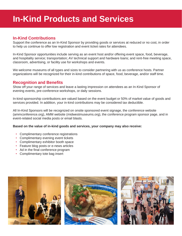## **In-Kind Products and Services**

### **In-Kind Contributions**

Support the conference as an In-Kind Sponsor by providing goods or services at reduced or no cost, in order to help us continue to offer low registration and event ticket rates for attendees.

In-Kind Sponsor opportunities include serving as an event host and/or offering event space, food, beverage, and hospitality service; transportation; AV technical support and hardware loans; and rent-free meeting space, classroom, advertising, or facility use for workshops and events.

We welcome museums of all types and sizes to consider partnering with us as conference hosts. Partner organizations will be recognized for their in-kind contributions of space, food, beverage, and/or staff time.

### **Recognition and Benefits**

Show off your range of services and leave a lasting impression on attendees as an In-Kind Sponsor of evening events, pre-conference workshops, or daily sessions.

In-kind sponsorship contributions are valued based on the event budget or 50% of market value of goods and services provided. In addition, your in-kind contributions may be considered tax deductible.

All In-Kind Sponsors will be recognized on onsite sponsored event signage, the conference website (ammconference.org), AMM website (midwestmuseums.org), the conference program sponsor page, and in event-related social media posts or email blasts.

#### **Based on the value of in-kind goods and services, your company may also receive:**

- Complimentary conference registrations
- Complimentary evening event tickets
- Complimentary exhibitor booth space
- Feature blog posts or e-news articles
- Ad in the final conference program
- Complimentary tote bag insert